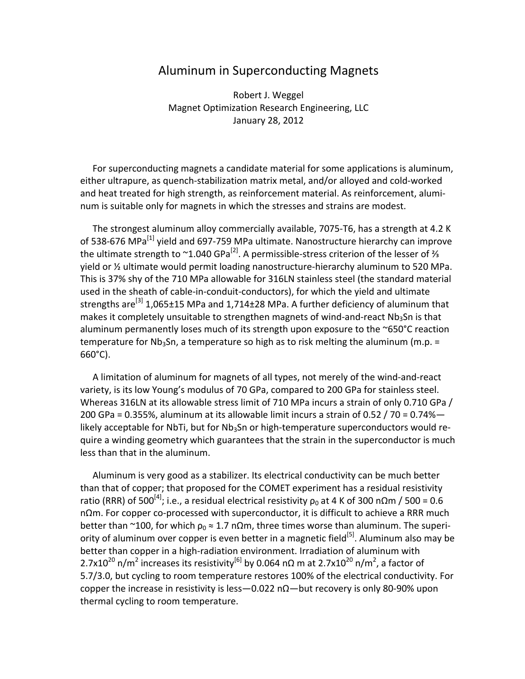## Aluminum in Superconducting Magnets

Robert J. Weggel Magnet Optimization Research Engineering, LLC January 28, 2012

For superconducting magnets a candidate material for some applications is aluminum, either ultrapure, as quench‐stabilization matrix metal, and/or alloyed and cold‐worked and heat treated for high strength, as reinforcement material. As reinforcement, alumi‐ num is suitable only for magnets in which the stresses and strains are modest.

The strongest aluminum alloy commercially available, 7075‐T6, has a strength at 4.2 K of 538-676 MPa<sup>[1]</sup> yield and 697-759 MPa ultimate. Nanostructure hierarchy can improve the ultimate strength to ~1.040 GPa<sup>[2]</sup>. A permissible-stress criterion of the lesser of % yield or ½ ultimate would permit loading nanostructure‐hierarchy aluminum to 520 MPa. This is 37% shy of the 710 MPa allowable for 316LN stainless steel (the standard material used in the sheath of cable‐in‐conduit‐conductors), for which the yield and ultimate strengths are<sup>[3]</sup> 1,065±15 MPa and 1,714±28 MPa. A further deficiency of aluminum that makes it completely unsuitable to strengthen magnets of wind-and-react  $Nb<sub>3</sub>Sn$  is that aluminum permanently loses much of its strength upon exposure to the ~650°C reaction temperature for Nb<sub>3</sub>Sn, a temperature so high as to risk melting the aluminum (m.p.  $=$ 660°C).

A limitation of aluminum for magnets of all types, not merely of the wind‐and‐react variety, is its low Young's modulus of 70 GPa, compared to 200 GPa for stainless steel. Whereas 316LN at its allowable stress limit of 710 MPa incurs a strain of only 0.710 GPa / 200 GPa = 0.355%, aluminum at its allowable limit incurs a strain of 0.52 / 70 = 0.74% $$ likely acceptable for NbTi, but for  $Nb<sub>3</sub>Sn$  or high-temperature superconductors would require a winding geometry which guarantees that the strain in the superconductor is much less than that in the aluminum.

Aluminum is very good as a stabilizer. Its electrical conductivity can be much better than that of copper; that proposed for the COMET experiment has a residual resistivity ratio (RRR) of 500<sup>[4]</sup>; i.e., a residual electrical resistivity  $\rho_0$  at 4 K of 300 n $\Omega$ m / 500 = 0.6 nΩm. For copper co‐processed with superconductor, it is difficult to achieve a RRR much better than ~100, for which  $\rho_0 \approx 1.7$  n $\Omega$ m, three times worse than aluminum. The superiority of aluminum over copper is even better in a magnetic field<sup>[5]</sup>. Aluminum also mav be better than copper in a high‐radiation environment. Irradiation of aluminum with 2.7x10<sup>20</sup> n/m<sup>2</sup> increases its resistivity<sup>[6]</sup> by 0.064 nΩ m at 2.7x10<sup>20</sup> n/m<sup>2</sup>, a factor of 5.7/3.0, but cycling to room temperature restores 100% of the electrical conductivity. For copper the increase in resistivity is less—0.022 nΩ—but recovery is only 80-90% upon thermal cycling to room temperature.